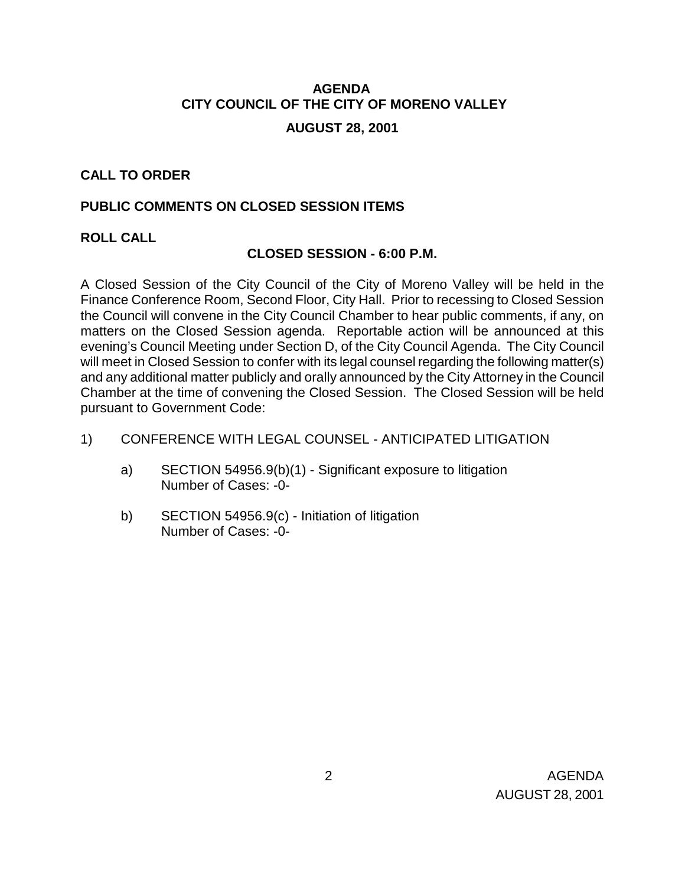# **AGENDA CITY COUNCIL OF THE CITY OF MORENO VALLEY**

### **AUGUST 28, 2001**

### **CALL TO ORDER**

### **PUBLIC COMMENTS ON CLOSED SESSION ITEMS**

### **ROLL CALL**

### **CLOSED SESSION - 6:00 P.M.**

A Closed Session of the City Council of the City of Moreno Valley will be held in the Finance Conference Room, Second Floor, City Hall. Prior to recessing to Closed Session the Council will convene in the City Council Chamber to hear public comments, if any, on matters on the Closed Session agenda. Reportable action will be announced at this evening's Council Meeting under Section D, of the City Council Agenda. The City Council will meet in Closed Session to confer with its legal counsel regarding the following matter(s) and any additional matter publicly and orally announced by the City Attorney in the Council Chamber at the time of convening the Closed Session. The Closed Session will be held pursuant to Government Code:

### 1) CONFERENCE WITH LEGAL COUNSEL - ANTICIPATED LITIGATION

- a) SECTION 54956.9(b)(1) Significant exposure to litigation Number of Cases: -0-
- b) SECTION 54956.9(c) Initiation of litigation Number of Cases: -0-

 2 AGENDA AUGUST 28, 2001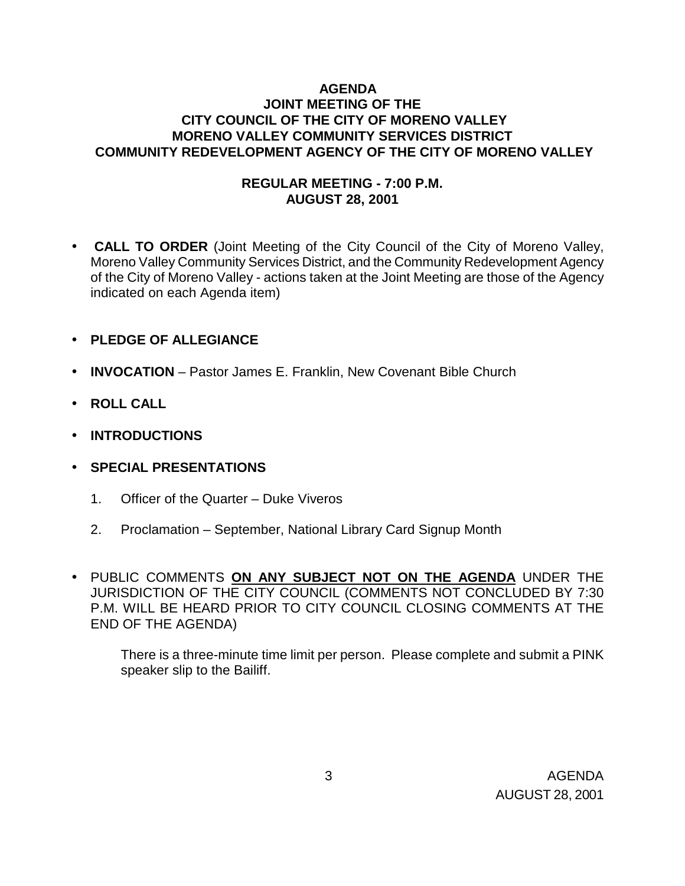### **AGENDA JOINT MEETING OF THE CITY COUNCIL OF THE CITY OF MORENO VALLEY MORENO VALLEY COMMUNITY SERVICES DISTRICT COMMUNITY REDEVELOPMENT AGENCY OF THE CITY OF MORENO VALLEY**

### **REGULAR MEETING - 7:00 P.M. AUGUST 28, 2001**

- **CALL TO ORDER** (Joint Meeting of the City Council of the City of Moreno Valley, Moreno Valley Community Services District, and the Community Redevelopment Agency of the City of Moreno Valley - actions taken at the Joint Meeting are those of the Agency indicated on each Agenda item)
- **PLEDGE OF ALLEGIANCE**
- **INVOCATION** Pastor James E. Franklin, New Covenant Bible Church
- **ROLL CALL**
- **INTRODUCTIONS**
- **SPECIAL PRESENTATIONS** 
	- 1. Officer of the Quarter Duke Viveros
	- 2. Proclamation September, National Library Card Signup Month
- PUBLIC COMMENTS **ON ANY SUBJECT NOT ON THE AGENDA** UNDER THE JURISDICTION OF THE CITY COUNCIL (COMMENTS NOT CONCLUDED BY 7:30 P.M. WILL BE HEARD PRIOR TO CITY COUNCIL CLOSING COMMENTS AT THE END OF THE AGENDA)

There is a three-minute time limit per person. Please complete and submit a PINK speaker slip to the Bailiff.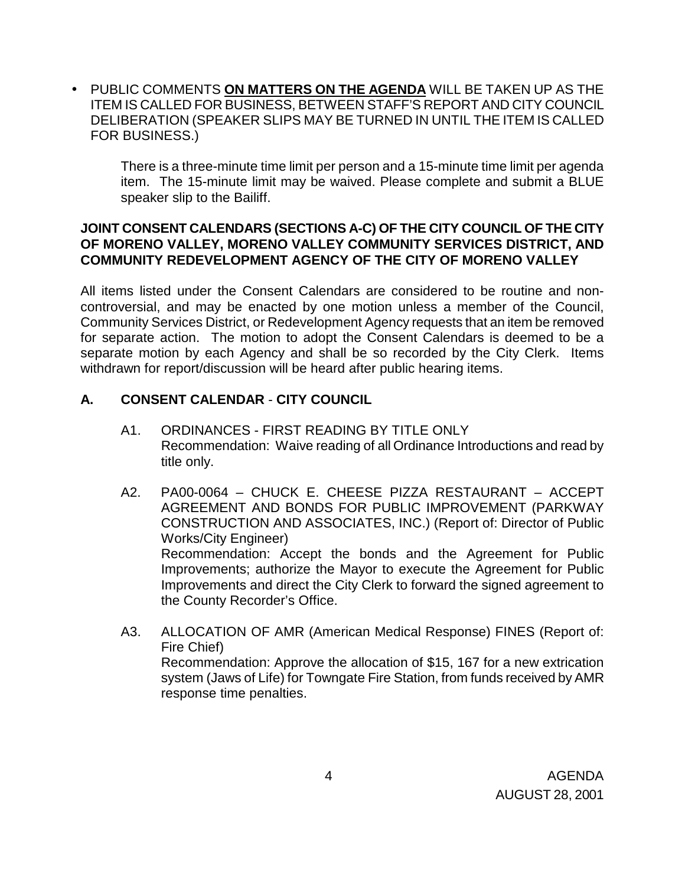• PUBLIC COMMENTS **ON MATTERS ON THE AGENDA** WILL BE TAKEN UP AS THE ITEM IS CALLED FOR BUSINESS, BETWEEN STAFF'S REPORT AND CITY COUNCIL DELIBERATION (SPEAKER SLIPS MAY BE TURNED IN UNTIL THE ITEM IS CALLED FOR BUSINESS.)

There is a three-minute time limit per person and a 15-minute time limit per agenda item. The 15-minute limit may be waived. Please complete and submit a BLUE speaker slip to the Bailiff.

### **JOINT CONSENT CALENDARS (SECTIONS A-C) OF THE CITY COUNCIL OF THE CITY OF MORENO VALLEY, MORENO VALLEY COMMUNITY SERVICES DISTRICT, AND COMMUNITY REDEVELOPMENT AGENCY OF THE CITY OF MORENO VALLEY**

All items listed under the Consent Calendars are considered to be routine and noncontroversial, and may be enacted by one motion unless a member of the Council, Community Services District, or Redevelopment Agency requests that an item be removed for separate action. The motion to adopt the Consent Calendars is deemed to be a separate motion by each Agency and shall be so recorded by the City Clerk. Items withdrawn for report/discussion will be heard after public hearing items.

# **A. CONSENT CALENDAR** - **CITY COUNCIL**

- A1. ORDINANCES FIRST READING BY TITLE ONLY Recommendation: Waive reading of all Ordinance Introductions and read by title only.
- A2. PA00-0064 CHUCK E. CHEESE PIZZA RESTAURANT ACCEPT AGREEMENT AND BONDS FOR PUBLIC IMPROVEMENT (PARKWAY CONSTRUCTION AND ASSOCIATES, INC.) (Report of: Director of Public Works/City Engineer) Recommendation: Accept the bonds and the Agreement for Public Improvements; authorize the Mayor to execute the Agreement for Public Improvements and direct the City Clerk to forward the signed agreement to the County Recorder's Office.
- A3. ALLOCATION OF AMR (American Medical Response) FINES (Report of: Fire Chief) Recommendation: Approve the allocation of \$15, 167 for a new extrication system (Jaws of Life) for Towngate Fire Station, from funds received by AMR response time penalties.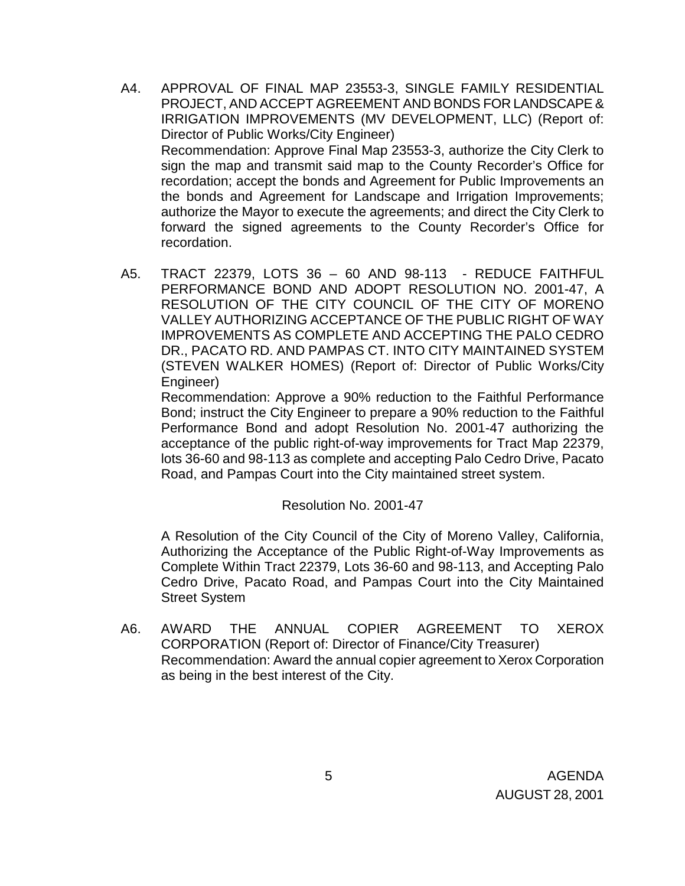- A4. APPROVAL OF FINAL MAP 23553-3, SINGLE FAMILY RESIDENTIAL PROJECT, AND ACCEPT AGREEMENT AND BONDS FOR LANDSCAPE & IRRIGATION IMPROVEMENTS (MV DEVELOPMENT, LLC) (Report of: Director of Public Works/City Engineer) Recommendation: Approve Final Map 23553-3, authorize the City Clerk to sign the map and transmit said map to the County Recorder's Office for recordation; accept the bonds and Agreement for Public Improvements an the bonds and Agreement for Landscape and Irrigation Improvements; authorize the Mayor to execute the agreements; and direct the City Clerk to forward the signed agreements to the County Recorder's Office for recordation.
- A5. TRACT 22379, LOTS 36 60 AND 98-113 REDUCE FAITHFUL PERFORMANCE BOND AND ADOPT RESOLUTION NO. 2001-47, A RESOLUTION OF THE CITY COUNCIL OF THE CITY OF MORENO VALLEY AUTHORIZING ACCEPTANCE OF THE PUBLIC RIGHT OF WAY IMPROVEMENTS AS COMPLETE AND ACCEPTING THE PALO CEDRO DR., PACATO RD. AND PAMPAS CT. INTO CITY MAINTAINED SYSTEM (STEVEN WALKER HOMES) (Report of: Director of Public Works/City Engineer)

 Recommendation: Approve a 90% reduction to the Faithful Performance Bond; instruct the City Engineer to prepare a 90% reduction to the Faithful Performance Bond and adopt Resolution No. 2001-47 authorizing the acceptance of the public right-of-way improvements for Tract Map 22379, lots 36-60 and 98-113 as complete and accepting Palo Cedro Drive, Pacato Road, and Pampas Court into the City maintained street system.

Resolution No. 2001-47

 A Resolution of the City Council of the City of Moreno Valley, California, Authorizing the Acceptance of the Public Right-of-Way Improvements as Complete Within Tract 22379, Lots 36-60 and 98-113, and Accepting Palo Cedro Drive, Pacato Road, and Pampas Court into the City Maintained Street System

A6. AWARD THE ANNUAL COPIER AGREEMENT TO XEROX CORPORATION (Report of: Director of Finance/City Treasurer) Recommendation: Award the annual copier agreement to Xerox Corporation as being in the best interest of the City.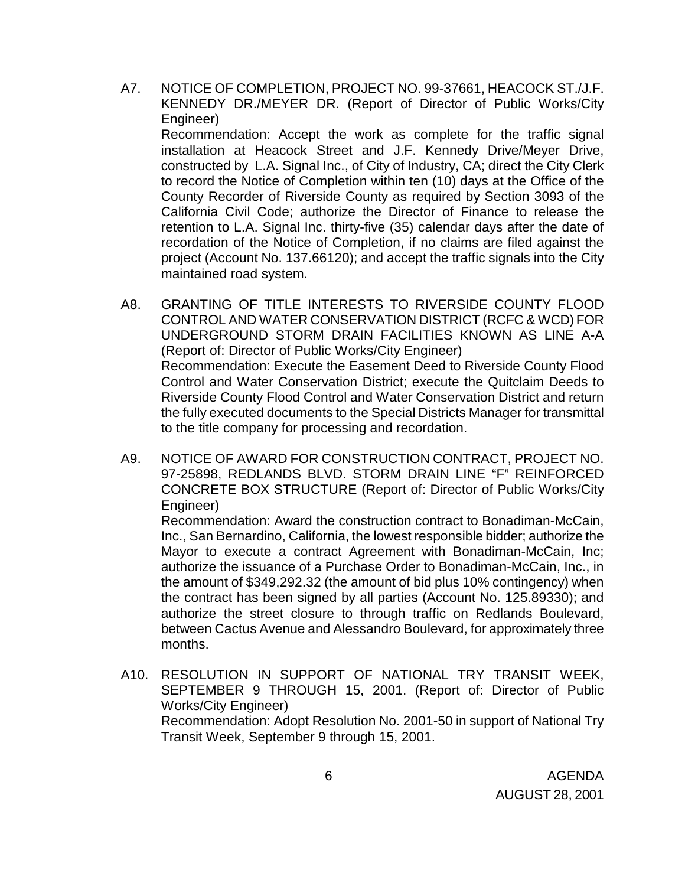- A7. NOTICE OF COMPLETION, PROJECT NO. 99-37661, HEACOCK ST./J.F. KENNEDY DR./MEYER DR. (Report of Director of Public Works/City Engineer) Recommendation: Accept the work as complete for the traffic signal installation at Heacock Street and J.F. Kennedy Drive/Meyer Drive, constructed by L.A. Signal Inc., of City of Industry, CA; direct the City Clerk to record the Notice of Completion within ten (10) days at the Office of the County Recorder of Riverside County as required by Section 3093 of the California Civil Code; authorize the Director of Finance to release the retention to L.A. Signal Inc. thirty-five (35) calendar days after the date of recordation of the Notice of Completion, if no claims are filed against the project (Account No. 137.66120); and accept the traffic signals into the City maintained road system.
- A8. GRANTING OF TITLE INTERESTS TO RIVERSIDE COUNTY FLOOD CONTROL AND WATER CONSERVATION DISTRICT (RCFC & WCD) FOR UNDERGROUND STORM DRAIN FACILITIES KNOWN AS LINE A-A (Report of: Director of Public Works/City Engineer) Recommendation: Execute the Easement Deed to Riverside County Flood Control and Water Conservation District; execute the Quitclaim Deeds to Riverside County Flood Control and Water Conservation District and return the fully executed documents to the Special Districts Manager for transmittal to the title company for processing and recordation.
- A9. NOTICE OF AWARD FOR CONSTRUCTION CONTRACT, PROJECT NO. 97-25898, REDLANDS BLVD. STORM DRAIN LINE "F" REINFORCED CONCRETE BOX STRUCTURE (Report of: Director of Public Works/City Engineer)

 Recommendation: Award the construction contract to Bonadiman-McCain, Inc., San Bernardino, California, the lowest responsible bidder; authorize the Mayor to execute a contract Agreement with Bonadiman-McCain, Inc; authorize the issuance of a Purchase Order to Bonadiman-McCain, Inc., in the amount of \$349,292.32 (the amount of bid plus 10% contingency) when the contract has been signed by all parties (Account No. 125.89330); and authorize the street closure to through traffic on Redlands Boulevard, between Cactus Avenue and Alessandro Boulevard, for approximately three months.

 A10. RESOLUTION IN SUPPORT OF NATIONAL TRY TRANSIT WEEK, SEPTEMBER 9 THROUGH 15, 2001. (Report of: Director of Public Works/City Engineer) Recommendation: Adopt Resolution No. 2001-50 in support of National Try Transit Week, September 9 through 15, 2001.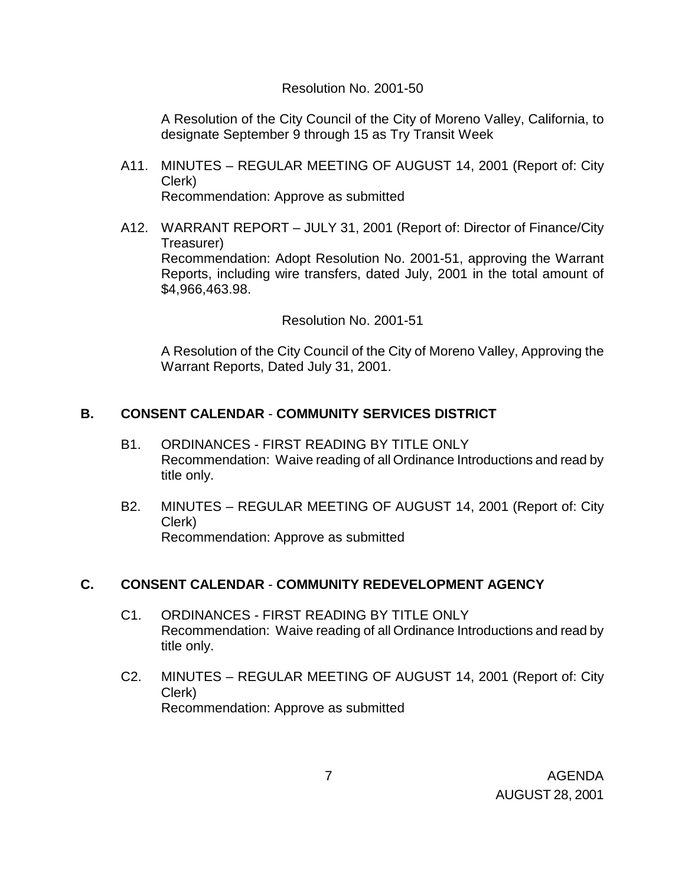#### Resolution No. 2001-50

 A Resolution of the City Council of the City of Moreno Valley, California, to designate September 9 through 15 as Try Transit Week

- A11. MINUTES REGULAR MEETING OF AUGUST 14, 2001 (Report of: City Clerk) Recommendation: Approve as submitted
- A12. WARRANT REPORT JULY 31, 2001 (Report of: Director of Finance/City Treasurer) Recommendation: Adopt Resolution No. 2001-51, approving the Warrant Reports, including wire transfers, dated July, 2001 in the total amount of \$4,966,463.98.

Resolution No. 2001-51

 A Resolution of the City Council of the City of Moreno Valley, Approving the Warrant Reports, Dated July 31, 2001.

### **B. CONSENT CALENDAR** - **COMMUNITY SERVICES DISTRICT**

- B1. ORDINANCES FIRST READING BY TITLE ONLY Recommendation: Waive reading of all Ordinance Introductions and read by title only.
- B2. MINUTES REGULAR MEETING OF AUGUST 14, 2001 (Report of: City Clerk) Recommendation: Approve as submitted

### **C. CONSENT CALENDAR** - **COMMUNITY REDEVELOPMENT AGENCY**

- C1. ORDINANCES FIRST READING BY TITLE ONLY Recommendation: Waive reading of all Ordinance Introductions and read by title only.
- C2. MINUTES REGULAR MEETING OF AUGUST 14, 2001 (Report of: City Clerk) Recommendation: Approve as submitted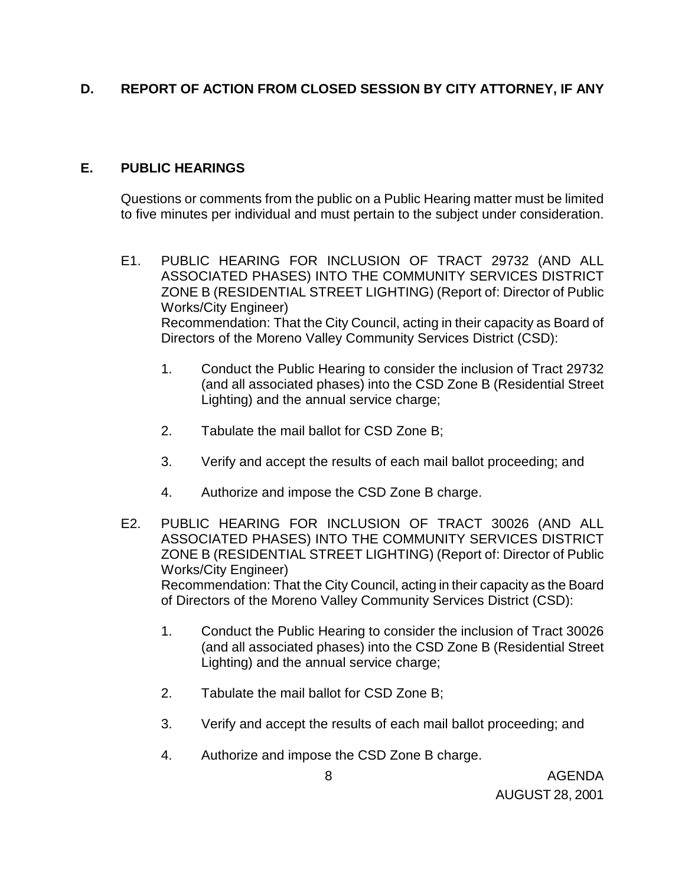# **D. REPORT OF ACTION FROM CLOSED SESSION BY CITY ATTORNEY, IF ANY**

### **E. PUBLIC HEARINGS**

Questions or comments from the public on a Public Hearing matter must be limited to five minutes per individual and must pertain to the subject under consideration.

- E1. PUBLIC HEARING FOR INCLUSION OF TRACT 29732 (AND ALL ASSOCIATED PHASES) INTO THE COMMUNITY SERVICES DISTRICT ZONE B (RESIDENTIAL STREET LIGHTING) (Report of: Director of Public Works/City Engineer) Recommendation: That the City Council, acting in their capacity as Board of Directors of the Moreno Valley Community Services District (CSD):
	- 1. Conduct the Public Hearing to consider the inclusion of Tract 29732 (and all associated phases) into the CSD Zone B (Residential Street Lighting) and the annual service charge;
	- 2. Tabulate the mail ballot for CSD Zone B;
	- 3. Verify and accept the results of each mail ballot proceeding; and
	- 4. Authorize and impose the CSD Zone B charge.
- E2. PUBLIC HEARING FOR INCLUSION OF TRACT 30026 (AND ALL ASSOCIATED PHASES) INTO THE COMMUNITY SERVICES DISTRICT ZONE B (RESIDENTIAL STREET LIGHTING) (Report of: Director of Public Works/City Engineer) Recommendation: That the City Council, acting in their capacity as the Board of Directors of the Moreno Valley Community Services District (CSD):
	- 1. Conduct the Public Hearing to consider the inclusion of Tract 30026 (and all associated phases) into the CSD Zone B (Residential Street Lighting) and the annual service charge;
	- 2. Tabulate the mail ballot for CSD Zone B;
	- 3. Verify and accept the results of each mail ballot proceeding; and
	- 4. Authorize and impose the CSD Zone B charge.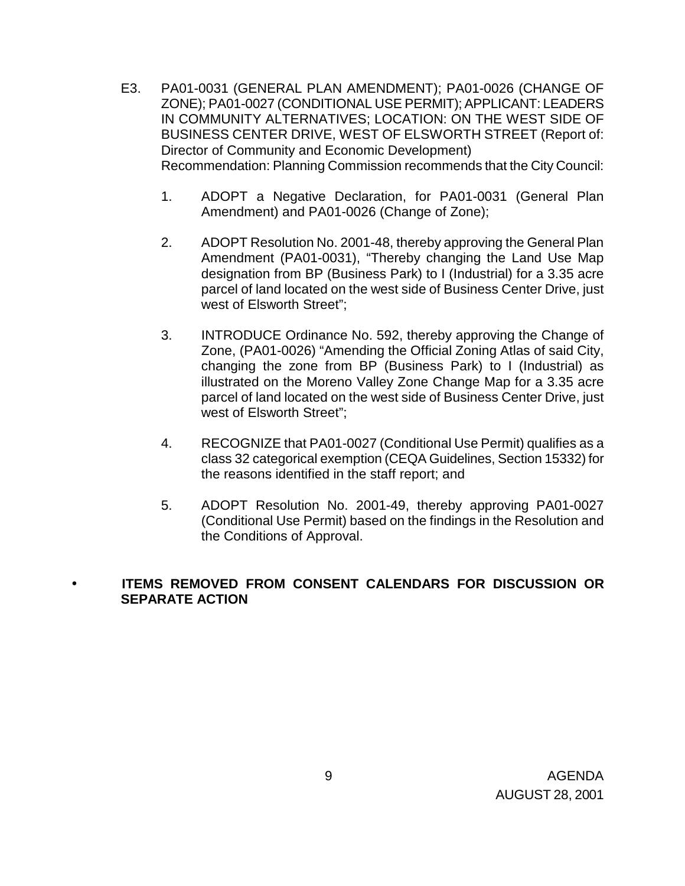- E3. PA01-0031 (GENERAL PLAN AMENDMENT); PA01-0026 (CHANGE OF ZONE); PA01-0027 (CONDITIONAL USE PERMIT); APPLICANT: LEADERS IN COMMUNITY ALTERNATIVES; LOCATION: ON THE WEST SIDE OF BUSINESS CENTER DRIVE, WEST OF ELSWORTH STREET (Report of: Director of Community and Economic Development) Recommendation: Planning Commission recommends that the City Council:
	- 1. ADOPT a Negative Declaration, for PA01-0031 (General Plan Amendment) and PA01-0026 (Change of Zone);
	- 2. ADOPT Resolution No. 2001-48, thereby approving the General Plan Amendment (PA01-0031), "Thereby changing the Land Use Map designation from BP (Business Park) to I (Industrial) for a 3.35 acre parcel of land located on the west side of Business Center Drive, just west of Elsworth Street";
	- 3. INTRODUCE Ordinance No. 592, thereby approving the Change of Zone, (PA01-0026) "Amending the Official Zoning Atlas of said City, changing the zone from BP (Business Park) to I (Industrial) as illustrated on the Moreno Valley Zone Change Map for a 3.35 acre parcel of land located on the west side of Business Center Drive, just west of Elsworth Street";
	- 4. RECOGNIZE that PA01-0027 (Conditional Use Permit) qualifies as a class 32 categorical exemption (CEQA Guidelines, Section 15332) for the reasons identified in the staff report; and
	- 5. ADOPT Resolution No. 2001-49, thereby approving PA01-0027 (Conditional Use Permit) based on the findings in the Resolution and the Conditions of Approval.

# • **ITEMS REMOVED FROM CONSENT CALENDARS FOR DISCUSSION OR SEPARATE ACTION**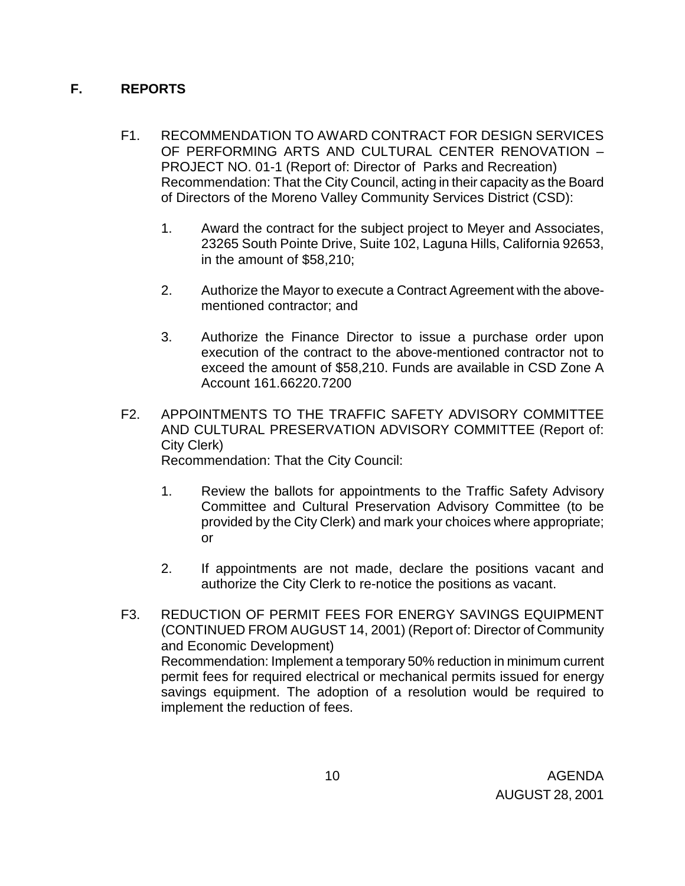## **F. REPORTS**

- F1. RECOMMENDATION TO AWARD CONTRACT FOR DESIGN SERVICES OF PERFORMING ARTS AND CULTURAL CENTER RENOVATION – PROJECT NO. 01-1 (Report of: Director of Parks and Recreation) Recommendation: That the City Council, acting in their capacity as the Board of Directors of the Moreno Valley Community Services District (CSD):
	- 1. Award the contract for the subject project to Meyer and Associates, 23265 South Pointe Drive, Suite 102, Laguna Hills, California 92653, in the amount of \$58,210;
	- 2. Authorize the Mayor to execute a Contract Agreement with the abovementioned contractor; and
	- 3. Authorize the Finance Director to issue a purchase order upon execution of the contract to the above-mentioned contractor not to exceed the amount of \$58,210. Funds are available in CSD Zone A Account 161.66220.7200
- F2. APPOINTMENTS TO THE TRAFFIC SAFETY ADVISORY COMMITTEE AND CULTURAL PRESERVATION ADVISORY COMMITTEE (Report of: City Clerk)

Recommendation: That the City Council:

- 1. Review the ballots for appointments to the Traffic Safety Advisory Committee and Cultural Preservation Advisory Committee (to be provided by the City Clerk) and mark your choices where appropriate; or
- 2. If appointments are not made, declare the positions vacant and authorize the City Clerk to re-notice the positions as vacant.
- F3. REDUCTION OF PERMIT FEES FOR ENERGY SAVINGS EQUIPMENT (CONTINUED FROM AUGUST 14, 2001) (Report of: Director of Community and Economic Development) Recommendation: Implement a temporary 50% reduction in minimum current permit fees for required electrical or mechanical permits issued for energy savings equipment. The adoption of a resolution would be required to implement the reduction of fees.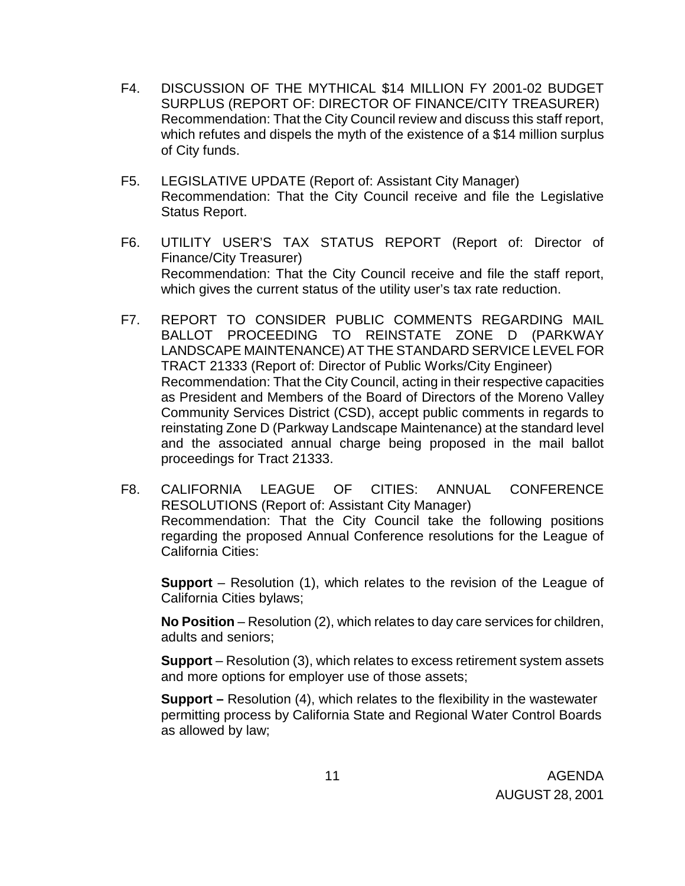- F4. DISCUSSION OF THE MYTHICAL \$14 MILLION FY 2001-02 BUDGET SURPLUS (REPORT OF: DIRECTOR OF FINANCE/CITY TREASURER) Recommendation: That the City Council review and discuss this staff report, which refutes and dispels the myth of the existence of a \$14 million surplus of City funds.
- F5. LEGISLATIVE UPDATE (Report of: Assistant City Manager) Recommendation: That the City Council receive and file the Legislative Status Report.
- F6. UTILITY USER'S TAX STATUS REPORT (Report of: Director of Finance/City Treasurer) Recommendation: That the City Council receive and file the staff report, which gives the current status of the utility user's tax rate reduction.
- F7. REPORT TO CONSIDER PUBLIC COMMENTS REGARDING MAIL BALLOT PROCEEDING TO REINSTATE ZONE D (PARKWAY LANDSCAPE MAINTENANCE) AT THE STANDARD SERVICE LEVEL FOR TRACT 21333 (Report of: Director of Public Works/City Engineer) Recommendation: That the City Council, acting in their respective capacities as President and Members of the Board of Directors of the Moreno Valley Community Services District (CSD), accept public comments in regards to reinstating Zone D (Parkway Landscape Maintenance) at the standard level and the associated annual charge being proposed in the mail ballot proceedings for Tract 21333.
- F8. CALIFORNIA LEAGUE OF CITIES: ANNUAL CONFERENCE RESOLUTIONS (Report of: Assistant City Manager) Recommendation: That the City Council take the following positions regarding the proposed Annual Conference resolutions for the League of California Cities:

**Support** – Resolution (1), which relates to the revision of the League of California Cities bylaws;

 **No Position** – Resolution (2), which relates to day care services for children, adults and seniors;

 **Support** – Resolution (3), which relates to excess retirement system assets and more options for employer use of those assets;

**Support –** Resolution (4), which relates to the flexibility in the wastewater permitting process by California State and Regional Water Control Boards as allowed by law;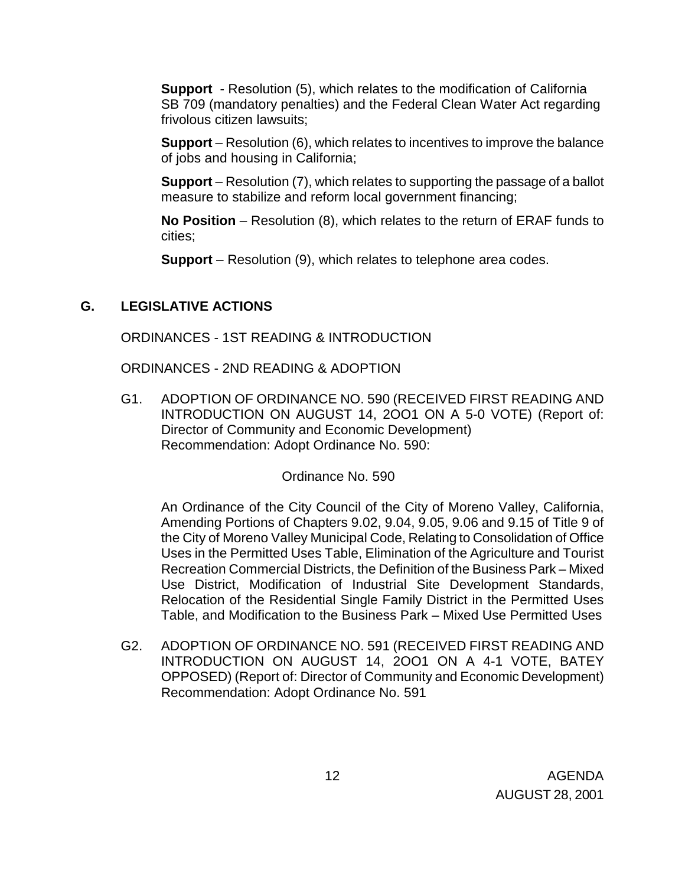**Support** - Resolution (5), which relates to the modification of California SB 709 (mandatory penalties) and the Federal Clean Water Act regarding frivolous citizen lawsuits;

**Support** – Resolution (6), which relates to incentives to improve the balance of jobs and housing in California;

**Support** – Resolution (7), which relates to supporting the passage of a ballot measure to stabilize and reform local government financing;

**No Position** – Resolution (8), which relates to the return of ERAF funds to cities;

**Support** – Resolution (9), which relates to telephone area codes.

### **G. LEGISLATIVE ACTIONS**

ORDINANCES - 1ST READING & INTRODUCTION

ORDINANCES - 2ND READING & ADOPTION

G1. ADOPTION OF ORDINANCE NO. 590 (RECEIVED FIRST READING AND INTRODUCTION ON AUGUST 14, 2OO1 ON A 5-0 VOTE) (Report of: Director of Community and Economic Development) Recommendation: Adopt Ordinance No. 590:

Ordinance No. 590

An Ordinance of the City Council of the City of Moreno Valley, California, Amending Portions of Chapters 9.02, 9.04, 9.05, 9.06 and 9.15 of Title 9 of the City of Moreno Valley Municipal Code, Relating to Consolidation of Office Uses in the Permitted Uses Table, Elimination of the Agriculture and Tourist Recreation Commercial Districts, the Definition of the Business Park – Mixed Use District, Modification of Industrial Site Development Standards, Relocation of the Residential Single Family District in the Permitted Uses Table, and Modification to the Business Park – Mixed Use Permitted Uses

G2. ADOPTION OF ORDINANCE NO. 591 (RECEIVED FIRST READING AND INTRODUCTION ON AUGUST 14, 2OO1 ON A 4-1 VOTE, BATEY OPPOSED) (Report of: Director of Community and Economic Development) Recommendation: Adopt Ordinance No. 591